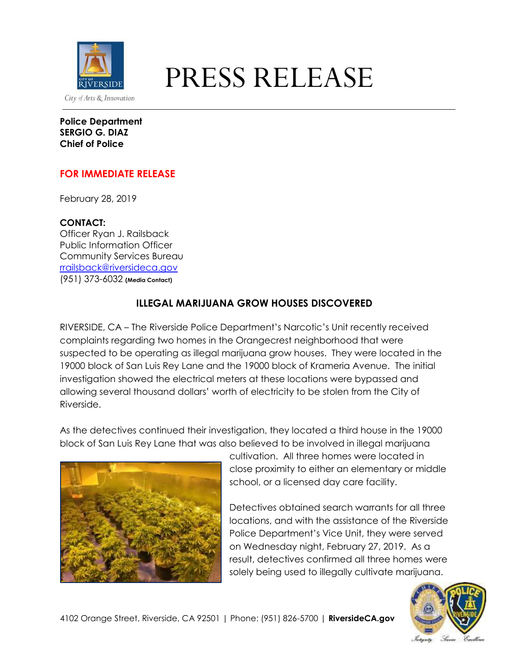

## EXPRESS RELEASE

**Police Department SERGIO G. DIAZ Chief of Police**

## **FOR IMMEDIATE RELEASE**

February 28, 2019

**CONTACT:**

Officer Ryan J. Railsback Public Information Officer Community Services Bureau [rrailsback@riversideca.gov](mailto:rrailsback@riversideca.gov) (951) 373-6032 **(Media Contact)**

## **ILLEGAL MARIJUANA GROW HOUSES DISCOVERED**

RIVERSIDE, CA – The Riverside Police Department's Narcotic's Unit recently received complaints regarding two homes in the Orangecrest neighborhood that were suspected to be operating as illegal marijuana grow houses. They were located in the 19000 block of San Luis Rey Lane and the 19000 block of Krameria Avenue. The initial investigation showed the electrical meters at these locations were bypassed and allowing several thousand dollars' worth of electricity to be stolen from the City of Riverside.

As the detectives continued their investigation, they located a third house in the 19000 block of San Luis Rey Lane that was also believed to be involved in illegal marijuana



cultivation. All three homes were located in close proximity to either an elementary or middle school, or a licensed day care facility.

Detectives obtained search warrants for all three locations, and with the assistance of the Riverside Police Department's Vice Unit, they were served on Wednesday night, February 27, 2019. As a result, detectives confirmed all three homes were solely being used to illegally cultivate marijuana.

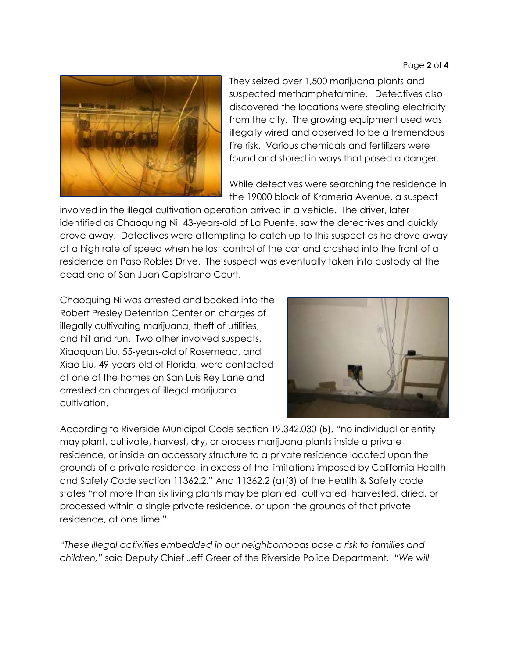

They seized over 1,500 marijuana plants and suspected methamphetamine. Detectives also discovered the locations were stealing electricity from the city. The growing equipment used was illegally wired and observed to be a tremendous fire risk. Various chemicals and fertilizers were found and stored in ways that posed a danger.

While detectives were searching the residence in the 19000 block of Krameria Avenue, a suspect

involved in the illegal cultivation operation arrived in a vehicle. The driver, later identified as Chaoquing Ni, 43-years-old of La Puente, saw the detectives and quickly drove away. Detectives were attempting to catch up to this suspect as he drove away at a high rate of speed when he lost control of the car and crashed into the front of a residence on Paso Robles Drive. The suspect was eventually taken into custody at the dead end of San Juan Capistrano Court.

Chaoquing Ni was arrested and booked into the Robert Presley Detention Center on charges of illegally cultivating marijuana, theft of utilities, and hit and run. Two other involved suspects, Xiaoquan Liu, 55-years-old of Rosemead, and Xiao Liu, 49-years-old of Florida, were contacted at one of the homes on San Luis Rey Lane and arrested on charges of illegal marijuana cultivation.



According to Riverside Municipal Code section 19.342.030 (B), "no individual or entity may plant, cultivate, harvest, dry, or process marijuana plants inside a private residence, or inside an accessory structure to a private residence located upon the grounds of a private residence, in excess of the limitations imposed by California Health and Safety Code section 11362.2." And 11362.2 (a)(3) of the Health & Safety code states "not more than six living plants may be planted, cultivated, harvested, dried, or processed within a single private residence, or upon the grounds of that private residence, at one time."

"*These illegal activities embedded in our neighborhoods pose a risk to families and children,"* said Deputy Chief Jeff Greer of the Riverside Police Department*. "We will*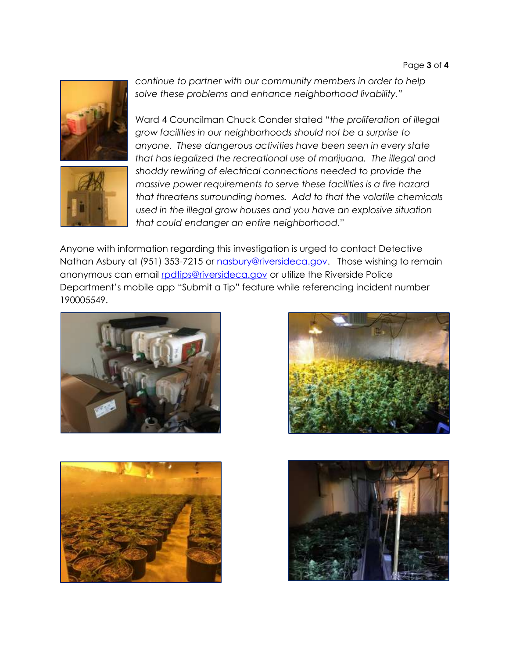



*continue to partner with our community members in order to help solve these problems and enhance neighborhood livability."*

Ward 4 Councilman Chuck Conder stated "*the proliferation of illegal grow facilities in our neighborhoods should not be a surprise to anyone. These dangerous activities have been seen in every state that has legalized the recreational use of marijuana. The illegal and shoddy rewiring of electrical connections needed to provide the massive power requirements to serve these facilities is a fire hazard that threatens surrounding homes. Add to that the volatile chemicals used in the illegal grow houses and you have an explosive situation that could endanger an entire neighborhood*."

Anyone with information regarding this investigation is urged to contact Detective Nathan Asbury at (951) 353-7215 or [nasbury@riversideca.gov.](mailto:nasbury@riversideca.gov) Those wishing to remain anonymous can email [rpdtips@riversideca.gov](mailto:rpdtips@riversideca.gov) or utilize the Riverside Police Department's mobile app "Submit a Tip" feature while referencing incident number 190005549.